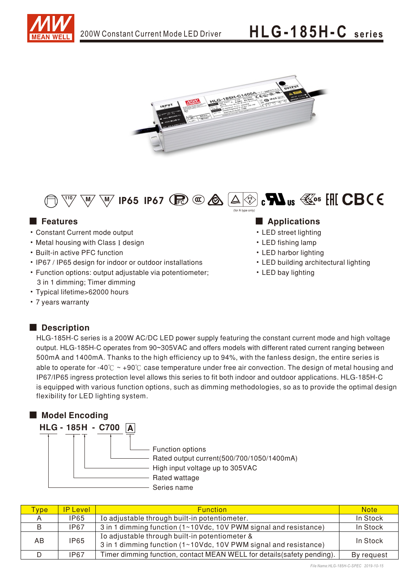





- Constant Current mode output
- Metal housing with Class I design
- Built-in active PFC function
- IP67 / IP65 design for indoor or outdoor installations
- Function options: output adjustable via potentiometer; 3 in 1 dimming; Timer dimming
- Typical lifetime>62000 hours
- 7 years warranty

## Description

### ■ Features ■ Preactions

- LED street lighting
- LED fishing lamp
- LED harbor lighting
- LED building architectural lighting
- LED bay lighting

HLG-185H-C series is a 200W AC/DC LED power supply featuring the constant current mode and high voltage output. HLG-185H-C operates from 90~305VAC and offers models with different rated current ranging between 500mA and 1400mA. Thanks to the high efficiency up to 94%, with the fanless design, the entire series is able to operate for -40° $\degree$   $\degree$  +90° $\degree$  case temperature under free air convection. The design of metal housing and IP67/IP65 ingress protection level allows this series to fit both indoor and outdoor applications. HLG-185H-C is equipped with various function options, such as dimming methodologies, so as to provide the optimal design flexibility for LED lighting system.



| <b>ype</b> | <b>IP Level</b> | <b>Function</b>                                                                                                    | <b>Note</b> |
|------------|-----------------|--------------------------------------------------------------------------------------------------------------------|-------------|
|            | <b>IP65</b>     | Io adjustable through built-in potentiometer.                                                                      | In Stock    |
|            | <b>IP67</b>     | 3 in 1 dimming function (1~10Vdc, 10V PWM signal and resistance)                                                   | In Stock    |
| AB         | <b>IP65</b>     | Io adjustable through built-in potentiometer &<br>3 in 1 dimming function (1~10Vdc, 10V PWM signal and resistance) | In Stock    |
|            | <b>IP67</b>     | Timer dimming function, contact MEAN WELL for details (safety pending).                                            | By request  |

*File Name:HLG-185H-C-SPEC 2019-10-15*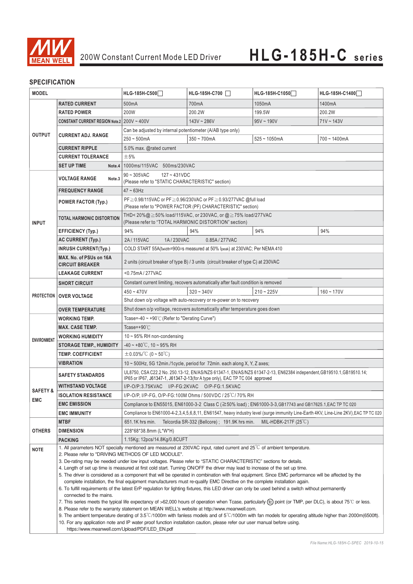

### **SPECIFICATION**

| <b>MODEL</b>               |                                                                                                                                                                                                                                                                                                                                                                                                                                                                                                                                                                                                                                                                                                                                                                                                                                                                                                                                                                                                                                                                                                                                                                                                                                                                                                                                                                                                                                                                      | HLG-185H-C500                                                                                                                                                                                         | HLG-185H-C700                                                                      | HLG-185H-C1050  | HLG-185H-C1400  |  |  |
|----------------------------|----------------------------------------------------------------------------------------------------------------------------------------------------------------------------------------------------------------------------------------------------------------------------------------------------------------------------------------------------------------------------------------------------------------------------------------------------------------------------------------------------------------------------------------------------------------------------------------------------------------------------------------------------------------------------------------------------------------------------------------------------------------------------------------------------------------------------------------------------------------------------------------------------------------------------------------------------------------------------------------------------------------------------------------------------------------------------------------------------------------------------------------------------------------------------------------------------------------------------------------------------------------------------------------------------------------------------------------------------------------------------------------------------------------------------------------------------------------------|-------------------------------------------------------------------------------------------------------------------------------------------------------------------------------------------------------|------------------------------------------------------------------------------------|-----------------|-----------------|--|--|
|                            | <b>RATED CURRENT</b>                                                                                                                                                                                                                                                                                                                                                                                                                                                                                                                                                                                                                                                                                                                                                                                                                                                                                                                                                                                                                                                                                                                                                                                                                                                                                                                                                                                                                                                 | 500 <sub>m</sub> A                                                                                                                                                                                    | 700mA                                                                              | 1050mA          | 1400mA          |  |  |
|                            | <b>RATED POWER</b>                                                                                                                                                                                                                                                                                                                                                                                                                                                                                                                                                                                                                                                                                                                                                                                                                                                                                                                                                                                                                                                                                                                                                                                                                                                                                                                                                                                                                                                   | 200W                                                                                                                                                                                                  | 200.2W                                                                             | 199.5W          | 200.2W          |  |  |
|                            | CONSTANT CURRENT REGION Note.2 200V ~ 400V                                                                                                                                                                                                                                                                                                                                                                                                                                                                                                                                                                                                                                                                                                                                                                                                                                                                                                                                                                                                                                                                                                                                                                                                                                                                                                                                                                                                                           |                                                                                                                                                                                                       | $143V - 286V$                                                                      | $95V \sim 190V$ | $71V \sim 143V$ |  |  |
|                            |                                                                                                                                                                                                                                                                                                                                                                                                                                                                                                                                                                                                                                                                                                                                                                                                                                                                                                                                                                                                                                                                                                                                                                                                                                                                                                                                                                                                                                                                      | Can be adjusted by internal potentiometer (A/AB type only)                                                                                                                                            |                                                                                    |                 |                 |  |  |
| <b>OUTPUT</b>              | <b>CURRENT ADJ. RANGE</b>                                                                                                                                                                                                                                                                                                                                                                                                                                                                                                                                                                                                                                                                                                                                                                                                                                                                                                                                                                                                                                                                                                                                                                                                                                                                                                                                                                                                                                            | $250 - 500mA$                                                                                                                                                                                         | $350 - 700$ mA                                                                     | $525 - 1050$ mA | 700~1400mA      |  |  |
|                            | <b>CURRENT RIPPLE</b>                                                                                                                                                                                                                                                                                                                                                                                                                                                                                                                                                                                                                                                                                                                                                                                                                                                                                                                                                                                                                                                                                                                                                                                                                                                                                                                                                                                                                                                | 5.0% max. @rated current                                                                                                                                                                              |                                                                                    |                 |                 |  |  |
|                            | <b>CURRENT TOLERANCE</b>                                                                                                                                                                                                                                                                                                                                                                                                                                                                                                                                                                                                                                                                                                                                                                                                                                                                                                                                                                                                                                                                                                                                                                                                                                                                                                                                                                                                                                             | ±5%                                                                                                                                                                                                   |                                                                                    |                 |                 |  |  |
|                            | <b>SET UP TIME</b><br>Note.4                                                                                                                                                                                                                                                                                                                                                                                                                                                                                                                                                                                                                                                                                                                                                                                                                                                                                                                                                                                                                                                                                                                                                                                                                                                                                                                                                                                                                                         | 1000ms/115VAC 500ms/230VAC                                                                                                                                                                            |                                                                                    |                 |                 |  |  |
|                            | <b>VOLTAGE RANGE</b><br>Note.3                                                                                                                                                                                                                                                                                                                                                                                                                                                                                                                                                                                                                                                                                                                                                                                                                                                                                                                                                                                                                                                                                                                                                                                                                                                                                                                                                                                                                                       | $90 \sim 305$ VAC<br>$127 - 431VDC$<br>(Please refer to "STATIC CHARACTERISTIC" section)                                                                                                              |                                                                                    |                 |                 |  |  |
| <b>INPUT</b>               | <b>FREQUENCY RANGE</b>                                                                                                                                                                                                                                                                                                                                                                                                                                                                                                                                                                                                                                                                                                                                                                                                                                                                                                                                                                                                                                                                                                                                                                                                                                                                                                                                                                                                                                               | $47 \sim 63$ Hz                                                                                                                                                                                       |                                                                                    |                 |                 |  |  |
|                            | <b>POWER FACTOR (Typ.)</b>                                                                                                                                                                                                                                                                                                                                                                                                                                                                                                                                                                                                                                                                                                                                                                                                                                                                                                                                                                                                                                                                                                                                                                                                                                                                                                                                                                                                                                           | PF ≥ 0.98/115VAC or PF ≥ 0.96/230VAC or PF ≥ 0.93/277VAC @full load<br>(Please refer to "POWER FACTOR (PF) CHARACTERISTIC" section)                                                                   |                                                                                    |                 |                 |  |  |
|                            | TOTAL HARMONIC DISTORTION                                                                                                                                                                                                                                                                                                                                                                                                                                                                                                                                                                                                                                                                                                                                                                                                                                                                                                                                                                                                                                                                                                                                                                                                                                                                                                                                                                                                                                            | THD<20%@ ≥50% load/115VAC, or 230VAC, or @ ≥75% load/277VAC<br>(Please refer to "TOTAL HARMONIC DISTORTION" section)                                                                                  |                                                                                    |                 |                 |  |  |
|                            | <b>EFFICIENCY (Typ.)</b>                                                                                                                                                                                                                                                                                                                                                                                                                                                                                                                                                                                                                                                                                                                                                                                                                                                                                                                                                                                                                                                                                                                                                                                                                                                                                                                                                                                                                                             | 94%                                                                                                                                                                                                   | 94%                                                                                | 94%             | 94%             |  |  |
|                            | <b>AC CURRENT (Typ.)</b>                                                                                                                                                                                                                                                                                                                                                                                                                                                                                                                                                                                                                                                                                                                                                                                                                                                                                                                                                                                                                                                                                                                                                                                                                                                                                                                                                                                                                                             | 2A / 115VAC<br>1A/230VAC<br>0.85A / 277VAC                                                                                                                                                            |                                                                                    |                 |                 |  |  |
|                            | <b>INRUSH CURRENT(Typ.)</b>                                                                                                                                                                                                                                                                                                                                                                                                                                                                                                                                                                                                                                                                                                                                                                                                                                                                                                                                                                                                                                                                                                                                                                                                                                                                                                                                                                                                                                          |                                                                                                                                                                                                       | COLD START 55A(twidth=900µs measured at 50% Ipeak) at 230VAC; Per NEMA 410         |                 |                 |  |  |
|                            | MAX. No. of PSUs on 16A<br><b>CIRCUIT BREAKER</b>                                                                                                                                                                                                                                                                                                                                                                                                                                                                                                                                                                                                                                                                                                                                                                                                                                                                                                                                                                                                                                                                                                                                                                                                                                                                                                                                                                                                                    | 2 units (circuit breaker of type B) / 3 units (circuit breaker of type C) at 230VAC                                                                                                                   |                                                                                    |                 |                 |  |  |
|                            | <b>LEAKAGE CURRENT</b>                                                                                                                                                                                                                                                                                                                                                                                                                                                                                                                                                                                                                                                                                                                                                                                                                                                                                                                                                                                                                                                                                                                                                                                                                                                                                                                                                                                                                                               | <0.75mA/277VAC                                                                                                                                                                                        |                                                                                    |                 |                 |  |  |
|                            | <b>SHORT CIRCUIT</b>                                                                                                                                                                                                                                                                                                                                                                                                                                                                                                                                                                                                                                                                                                                                                                                                                                                                                                                                                                                                                                                                                                                                                                                                                                                                                                                                                                                                                                                 |                                                                                                                                                                                                       | Constant current limiting, recovers automatically after fault condition is removed |                 |                 |  |  |
| <b>PROTECTION</b>          | <b>OVER VOLTAGE</b>                                                                                                                                                                                                                                                                                                                                                                                                                                                                                                                                                                                                                                                                                                                                                                                                                                                                                                                                                                                                                                                                                                                                                                                                                                                                                                                                                                                                                                                  | $450 - 470V$                                                                                                                                                                                          | $320 - 340V$                                                                       | $210 - 225V$    | $160 - 170V$    |  |  |
|                            |                                                                                                                                                                                                                                                                                                                                                                                                                                                                                                                                                                                                                                                                                                                                                                                                                                                                                                                                                                                                                                                                                                                                                                                                                                                                                                                                                                                                                                                                      |                                                                                                                                                                                                       | Shut down o/p voltage with auto-recovery or re-power on to recovery                |                 |                 |  |  |
|                            | <b>OVER TEMPERATURE</b>                                                                                                                                                                                                                                                                                                                                                                                                                                                                                                                                                                                                                                                                                                                                                                                                                                                                                                                                                                                                                                                                                                                                                                                                                                                                                                                                                                                                                                              | Shut down o/p voltage, recovers automatically after temperature goes down                                                                                                                             |                                                                                    |                 |                 |  |  |
|                            | Tcase=-40 ~ +90°C (Refer to "Derating Curve")<br><b>WORKING TEMP.</b>                                                                                                                                                                                                                                                                                                                                                                                                                                                                                                                                                                                                                                                                                                                                                                                                                                                                                                                                                                                                                                                                                                                                                                                                                                                                                                                                                                                                |                                                                                                                                                                                                       |                                                                                    |                 |                 |  |  |
| <b>ENVIRONMENT</b>         | <b>MAX. CASE TEMP.</b>                                                                                                                                                                                                                                                                                                                                                                                                                                                                                                                                                                                                                                                                                                                                                                                                                                                                                                                                                                                                                                                                                                                                                                                                                                                                                                                                                                                                                                               | Tcase=+90 $°C$                                                                                                                                                                                        |                                                                                    |                 |                 |  |  |
|                            | <b>WORKING HUMIDITY</b>                                                                                                                                                                                                                                                                                                                                                                                                                                                                                                                                                                                                                                                                                                                                                                                                                                                                                                                                                                                                                                                                                                                                                                                                                                                                                                                                                                                                                                              | 10 $\sim$ 95% RH non-condensing                                                                                                                                                                       |                                                                                    |                 |                 |  |  |
|                            | <b>STORAGE TEMP., HUMIDITY</b>                                                                                                                                                                                                                                                                                                                                                                                                                                                                                                                                                                                                                                                                                                                                                                                                                                                                                                                                                                                                                                                                                                                                                                                                                                                                                                                                                                                                                                       | $-40 \sim +80^{\circ}$ C, 10 ~ 95% RH                                                                                                                                                                 |                                                                                    |                 |                 |  |  |
|                            | TEMP. COEFFICIENT                                                                                                                                                                                                                                                                                                                                                                                                                                                                                                                                                                                                                                                                                                                                                                                                                                                                                                                                                                                                                                                                                                                                                                                                                                                                                                                                                                                                                                                    | $\pm$ 0.03%/°C (0~50°C)                                                                                                                                                                               |                                                                                    |                 |                 |  |  |
|                            | <b>VIBRATION</b>                                                                                                                                                                                                                                                                                                                                                                                                                                                                                                                                                                                                                                                                                                                                                                                                                                                                                                                                                                                                                                                                                                                                                                                                                                                                                                                                                                                                                                                     | 10 ~ 500Hz, 5G 12min./1cycle, period for 72min. each along X, Y, Z axes;                                                                                                                              |                                                                                    |                 |                 |  |  |
|                            | <b>SAFETY STANDARDS</b>                                                                                                                                                                                                                                                                                                                                                                                                                                                                                                                                                                                                                                                                                                                                                                                                                                                                                                                                                                                                                                                                                                                                                                                                                                                                                                                                                                                                                                              | UL8750, CSA C22.2 No. 250.13-12, EN/AS/NZS 61347-1, EN/AS/NZS 61347-2-13, EN62384 independent, GB19510.1, GB19510.14;<br>IP65 or IP67, J61347-1, J61347-2-13(for A type only), EAC TP TC 004 approved |                                                                                    |                 |                 |  |  |
| <b>SAFETY &amp;</b><br>EMC | <b>WITHSTAND VOLTAGE</b>                                                                                                                                                                                                                                                                                                                                                                                                                                                                                                                                                                                                                                                                                                                                                                                                                                                                                                                                                                                                                                                                                                                                                                                                                                                                                                                                                                                                                                             | I/P-O/P:3.75KVAC I/P-FG:2KVAC O/P-FG:1.5KVAC                                                                                                                                                          |                                                                                    |                 |                 |  |  |
|                            | <b>ISOLATION RESISTANCE</b>                                                                                                                                                                                                                                                                                                                                                                                                                                                                                                                                                                                                                                                                                                                                                                                                                                                                                                                                                                                                                                                                                                                                                                                                                                                                                                                                                                                                                                          | I/P-O/P, I/P-FG, O/P-FG:100M Ohms / 500VDC / 25 °C / 70% RH                                                                                                                                           |                                                                                    |                 |                 |  |  |
|                            | <b>EMC EMISSION</b>                                                                                                                                                                                                                                                                                                                                                                                                                                                                                                                                                                                                                                                                                                                                                                                                                                                                                                                                                                                                                                                                                                                                                                                                                                                                                                                                                                                                                                                  | Compliance to EN55015, EN61000-3-2 Class C (≧50% load); EN61000-3-3, GB17743 and GB17625.1, EAC TP TC 020                                                                                             |                                                                                    |                 |                 |  |  |
|                            | <b>EMC IMMUNITY</b>                                                                                                                                                                                                                                                                                                                                                                                                                                                                                                                                                                                                                                                                                                                                                                                                                                                                                                                                                                                                                                                                                                                                                                                                                                                                                                                                                                                                                                                  | Compliance to EN61000-4-2,3,4,5,6,8,11, EN61547, heavy industry level (surge immunity Line-Earth 4KV, Line-Line 2KV), EAC TP TC 020                                                                   |                                                                                    |                 |                 |  |  |
|                            | <b>MTBF</b>                                                                                                                                                                                                                                                                                                                                                                                                                                                                                                                                                                                                                                                                                                                                                                                                                                                                                                                                                                                                                                                                                                                                                                                                                                                                                                                                                                                                                                                          | Telcordia SR-332 (Bellcore); 191.9K hrs min.<br>MIL-HDBK-217F $(25^{\circ}C)$<br>651.1K hrs min.                                                                                                      |                                                                                    |                 |                 |  |  |
| <b>OTHERS</b>              | <b>DIMENSION</b>                                                                                                                                                                                                                                                                                                                                                                                                                                                                                                                                                                                                                                                                                                                                                                                                                                                                                                                                                                                                                                                                                                                                                                                                                                                                                                                                                                                                                                                     | 228*68*38.8mm (L*W*H)                                                                                                                                                                                 |                                                                                    |                 |                 |  |  |
|                            | PACKING                                                                                                                                                                                                                                                                                                                                                                                                                                                                                                                                                                                                                                                                                                                                                                                                                                                                                                                                                                                                                                                                                                                                                                                                                                                                                                                                                                                                                                                              | 1.15Kg; 12pcs/14.8Kg/0.8CUFT                                                                                                                                                                          |                                                                                    |                 |                 |  |  |
| <b>NOTE</b>                | 1. All parameters NOT specially mentioned are measured at 230VAC input, rated current and 25°C of ambient temperature.<br>2. Please refer to "DRIVING METHODS OF LED MODULE".<br>3. De-rating may be needed under low input voltages. Please refer to "STATIC CHARACTERISTIC" sections for details.<br>4. Length of set up time is measured at first cold start. Turning ON/OFF the driver may lead to increase of the set up time.<br>5. The driver is considered as a component that will be operated in combination with final equipment. Since EMC performance will be affected by the<br>complete installation, the final equipment manufacturers must re-qualify EMC Directive on the complete installation again.<br>6. To fulfill requirements of the latest ErP regulation for lighting fixtures, this LED driver can only be used behind a switch without permanently<br>connected to the mains.<br>7. This series meets the typical life expectancy of >62,000 hours of operation when Tcase, particularly (tc) point (or TMP, per DLC), is about 75°C or less.<br>8. Please refer to the warranty statement on MEAN WELL's website at http://www.meanwell.com.<br>9. The ambient temperature derating of 3.5°C/1000m with fanless models and of 5°C/1000m with fan models for operating altitude higher than 2000m(6500ft).<br>10. For any application note and IP water proof function installation caution, please refer our user manual before using. |                                                                                                                                                                                                       |                                                                                    |                 |                 |  |  |
|                            | https://www.meanwell.com/Upload/PDF/LED EN.pdf                                                                                                                                                                                                                                                                                                                                                                                                                                                                                                                                                                                                                                                                                                                                                                                                                                                                                                                                                                                                                                                                                                                                                                                                                                                                                                                                                                                                                       |                                                                                                                                                                                                       |                                                                                    |                 |                 |  |  |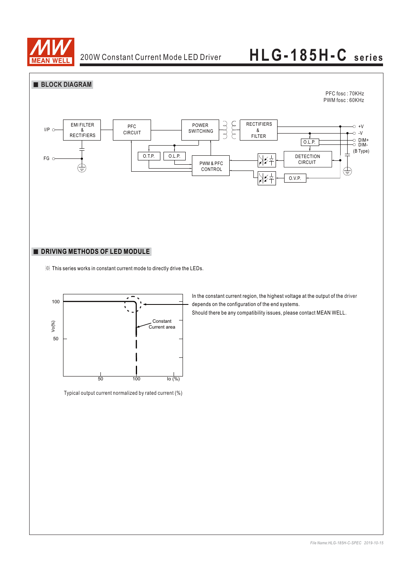

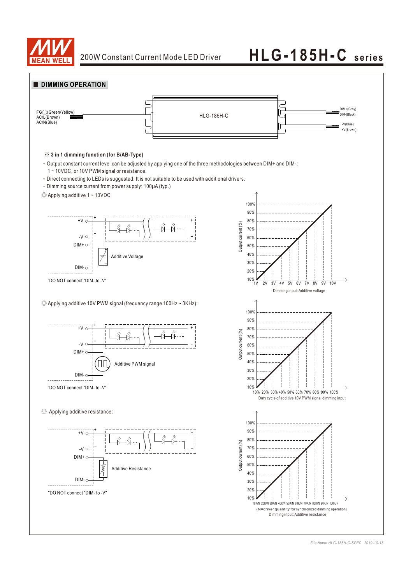

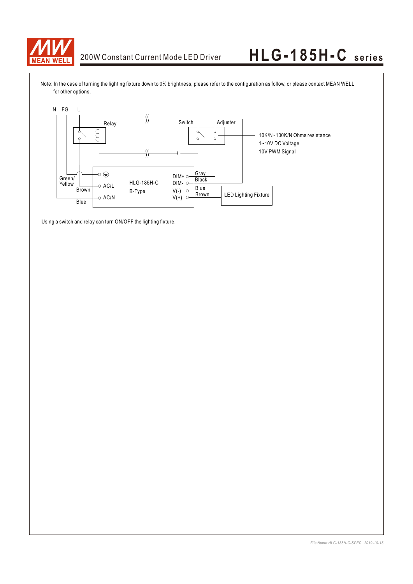

Note: In the case of turning the lighting fixture down to 0% brightness, please refer to the configuration as follow, or please contact MEAN WELL for other options.



Using a switch and relay can turn ON/OFF the lighting fixture.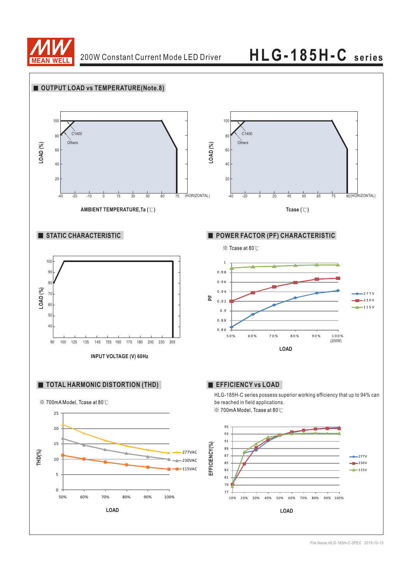

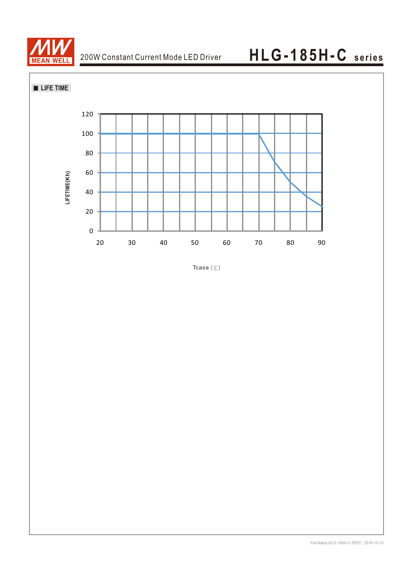



Tcase $(°C)$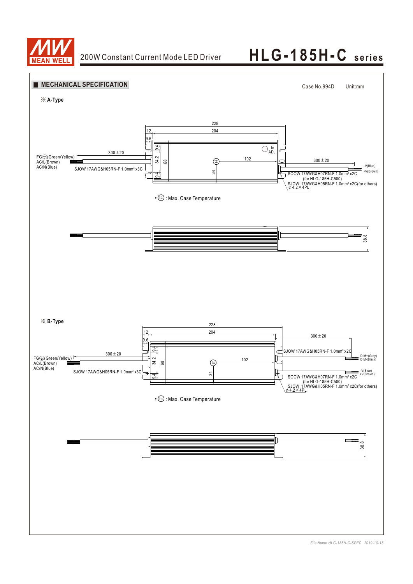

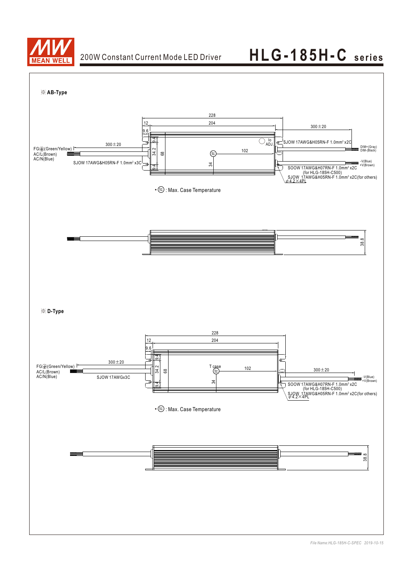